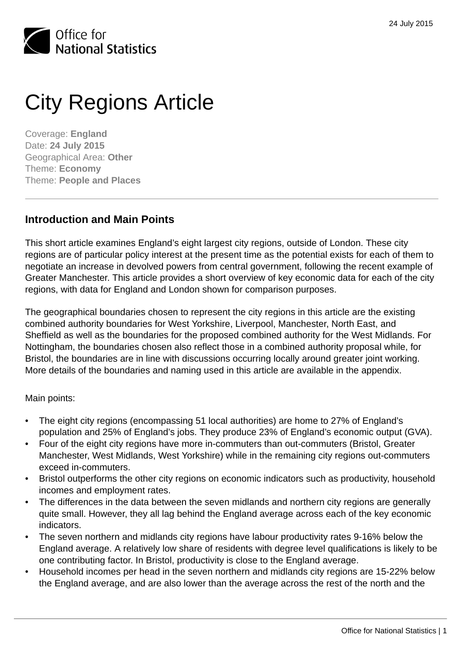

# City Regions Article

Coverage: **England** Date: **24 July 2015** Geographical Area: **Other** Theme: **Economy** Theme: **People and Places**

### **Introduction and Main Points**

This short article examines England's eight largest city regions, outside of London. These city regions are of particular policy interest at the present time as the potential exists for each of them to negotiate an increase in devolved powers from central government, following the recent example of Greater Manchester. This article provides a short overview of key economic data for each of the city regions, with data for England and London shown for comparison purposes.

The geographical boundaries chosen to represent the city regions in this article are the existing combined authority boundaries for West Yorkshire, Liverpool, Manchester, North East, and Sheffield as well as the boundaries for the proposed combined authority for the West Midlands. For Nottingham, the boundaries chosen also reflect those in a combined authority proposal while, for Bristol, the boundaries are in line with discussions occurring locally around greater joint working. More details of the boundaries and naming used in this article are available in the appendix.

Main points:

- The eight city regions (encompassing 51 local authorities) are home to 27% of England's population and 25% of England's jobs. They produce 23% of England's economic output (GVA).
- Four of the eight city regions have more in-commuters than out-commuters (Bristol, Greater Manchester, West Midlands, West Yorkshire) while in the remaining city regions out-commuters exceed in-commuters.
- Bristol outperforms the other city regions on economic indicators such as productivity, household incomes and employment rates.
- The differences in the data between the seven midlands and northern city regions are generally quite small. However, they all lag behind the England average across each of the key economic indicators.
- The seven northern and midlands city regions have labour productivity rates 9-16% below the England average. A relatively low share of residents with degree level qualifications is likely to be one contributing factor. In Bristol, productivity is close to the England average.
- Household incomes per head in the seven northern and midlands city regions are 15-22% below the England average, and are also lower than the average across the rest of the north and the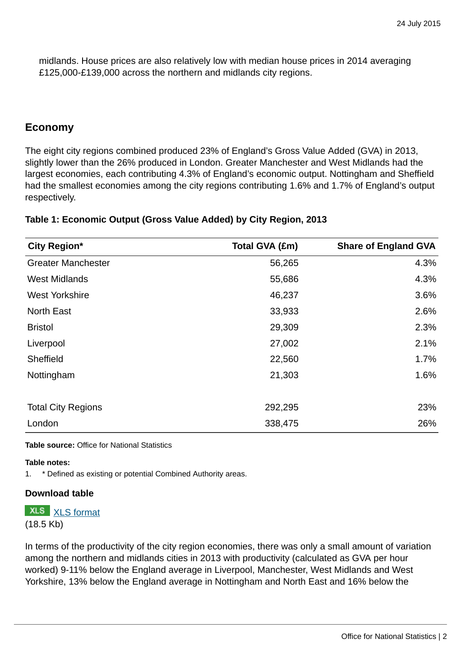midlands. House prices are also relatively low with median house prices in 2014 averaging £125,000-£139,000 across the northern and midlands city regions.

### **Economy**

The eight city regions combined produced 23% of England's Gross Value Added (GVA) in 2013, slightly lower than the 26% produced in London. Greater Manchester and West Midlands had the largest economies, each contributing 4.3% of England's economic output. Nottingham and Sheffield had the smallest economies among the city regions contributing 1.6% and 1.7% of England's output respectively.

| City Region*              | Total GVA (£m) | <b>Share of England GVA</b> |
|---------------------------|----------------|-----------------------------|
| <b>Greater Manchester</b> | 56,265         | 4.3%                        |
| <b>West Midlands</b>      | 55,686         | 4.3%                        |
| <b>West Yorkshire</b>     | 46,237         | 3.6%                        |
| <b>North East</b>         | 33,933         | 2.6%                        |
| <b>Bristol</b>            | 29,309         | 2.3%                        |
| Liverpool                 | 27,002         | 2.1%                        |
| Sheffield                 | 22,560         | 1.7%                        |
| Nottingham                | 21,303         | 1.6%                        |
| <b>Total City Regions</b> | 292,295        | 23%                         |
| London                    | 338,475        | 26%                         |

### **Table 1: Economic Output (Gross Value Added) by City Region, 2013**

**Table source:** Office for National Statistics

### **Table notes:**

1. \* Defined as existing or potential Combined Authority areas.

### **Download table**

**XLS** [XLS format](http://www.ons.gov.uk:80/ons/rel/regional-trends/cities-analysis/city-regions/prt1.xls) (18.5 Kb)

In terms of the productivity of the city region economies, there was only a small amount of variation among the northern and midlands cities in 2013 with productivity (calculated as GVA per hour worked) 9-11% below the England average in Liverpool, Manchester, West Midlands and West Yorkshire, 13% below the England average in Nottingham and North East and 16% below the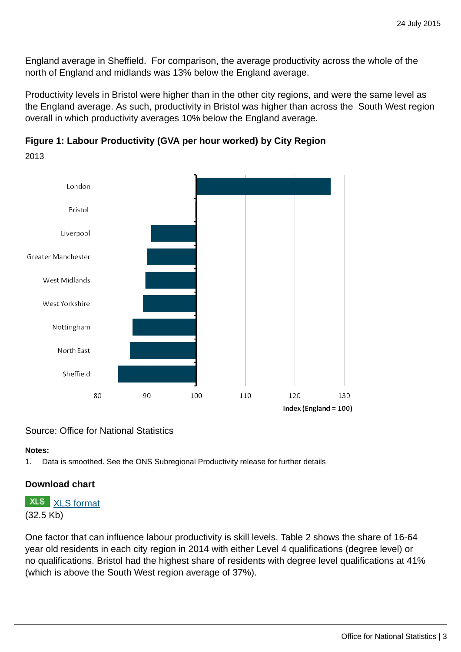England average in Sheffield. For comparison, the average productivity across the whole of the north of England and midlands was 13% below the England average.

Productivity levels in Bristol were higher than in the other city regions, and were the same level as the England average. As such, productivity in Bristol was higher than across the South West region overall in which productivity averages 10% below the England average.

**Figure 1: Labour Productivity (GVA per hour worked) by City Region**





### Source: Office for National Statistics

### **Notes:**

1. Data is smoothed. See the ONS Subregional Productivity release for further details

### **Download chart**

## **XLS** [XLS format](http://www.ons.gov.uk:80/ons/rel/regional-trends/cities-analysis/city-regions/chd1.xls)

(32.5 Kb)

One factor that can influence labour productivity is skill levels. Table 2 shows the share of 16-64 year old residents in each city region in 2014 with either Level 4 qualifications (degree level) or no qualifications. Bristol had the highest share of residents with degree level qualifications at 41% (which is above the South West region average of 37%).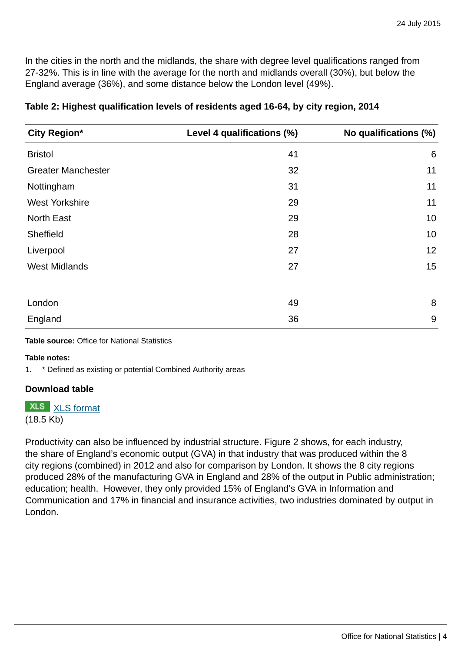In the cities in the north and the midlands, the share with degree level qualifications ranged from 27-32%. This is in line with the average for the north and midlands overall (30%), but below the England average (36%), and some distance below the London level (49%).

| City Region*              | Level 4 qualifications (%) | No qualifications (%) |
|---------------------------|----------------------------|-----------------------|
| <b>Bristol</b>            | 41                         | 6                     |
| <b>Greater Manchester</b> | 32                         | 11                    |
| Nottingham                | 31                         | 11                    |
| <b>West Yorkshire</b>     | 29                         | 11                    |
| <b>North East</b>         | 29                         | 10                    |
| Sheffield                 | 28                         | 10                    |
| Liverpool                 | 27                         | 12                    |
| <b>West Midlands</b>      | 27                         | 15                    |
|                           |                            |                       |
| London                    | 49                         | 8                     |
| England                   | 36                         | 9                     |

### **Table 2: Highest qualification levels of residents aged 16-64, by city region, 2014**

**Table source:** Office for National Statistics

### **Table notes:**

1. \* Defined as existing or potential Combined Authority areas

### **Download table**

### **XLS** [XLS format](http://www.ons.gov.uk:80/ons/rel/regional-trends/cities-analysis/city-regions/prt2.xls)

### (18.5 Kb)

Productivity can also be influenced by industrial structure. Figure 2 shows, for each industry, the share of England's economic output (GVA) in that industry that was produced within the 8 city regions (combined) in 2012 and also for comparison by London. It shows the 8 city regions produced 28% of the manufacturing GVA in England and 28% of the output in Public administration; education; health. However, they only provided 15% of England's GVA in Information and Communication and 17% in financial and insurance activities, two industries dominated by output in London.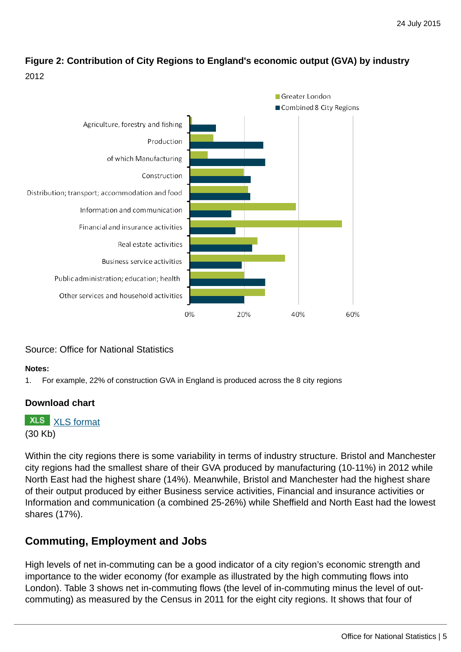### **Figure 2: Contribution of City Regions to England's economic output (GVA) by industry** 2012



### Source: Office for National Statistics

### **Notes:**

1. For example, 22% of construction GVA in England is produced across the 8 city regions

### **Download chart**

**XLS** [XLS format](http://www.ons.gov.uk:80/ons/rel/regional-trends/cities-analysis/city-regions/chd2.xls)

(30 Kb)

Within the city regions there is some variability in terms of industry structure. Bristol and Manchester city regions had the smallest share of their GVA produced by manufacturing (10-11%) in 2012 while North East had the highest share (14%). Meanwhile, Bristol and Manchester had the highest share of their output produced by either Business service activities, Financial and insurance activities or Information and communication (a combined 25-26%) while Sheffield and North East had the lowest shares (17%).

### **Commuting, Employment and Jobs**

High levels of net in-commuting can be a good indicator of a city region's economic strength and importance to the wider economy (for example as illustrated by the high commuting flows into London). Table 3 shows net in-commuting flows (the level of in-commuting minus the level of outcommuting) as measured by the Census in 2011 for the eight city regions. It shows that four of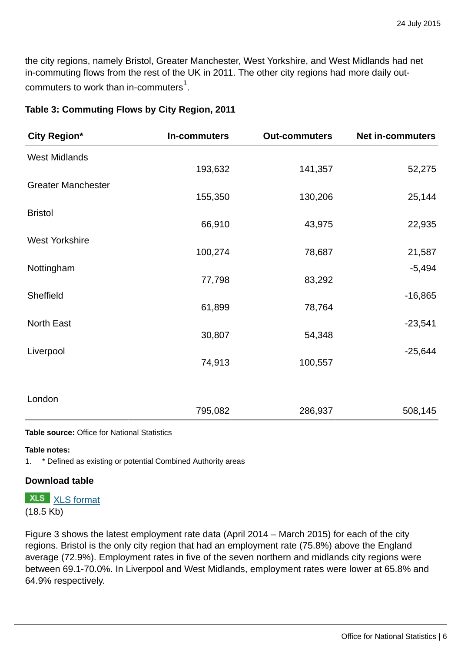the city regions, namely Bristol, Greater Manchester, West Yorkshire, and West Midlands had net in-commuting flows from the rest of the UK in 2011. The other city regions had more daily outcommuters to work than in-commuters $^{\rm 1}.$ 

| <b>City Region*</b>       | In-commuters | <b>Out-commuters</b> | <b>Net in-commuters</b> |
|---------------------------|--------------|----------------------|-------------------------|
| <b>West Midlands</b>      |              |                      |                         |
|                           | 193,632      | 141,357              | 52,275                  |
| <b>Greater Manchester</b> |              |                      |                         |
| <b>Bristol</b>            | 155,350      | 130,206              | 25,144                  |
|                           | 66,910       | 43,975               | 22,935                  |
| <b>West Yorkshire</b>     |              |                      |                         |
|                           | 100,274      | 78,687               | 21,587                  |
| Nottingham                | 77,798       | 83,292               | $-5,494$                |
| Sheffield                 |              |                      | $-16,865$               |
|                           | 61,899       | 78,764               |                         |
| North East                |              |                      | $-23,541$               |
|                           | 30,807       | 54,348               |                         |
| Liverpool                 | 74,913       | 100,557              | $-25,644$               |
|                           |              |                      |                         |
|                           |              |                      |                         |
| London                    | 795,082      | 286,937              | 508,145                 |
|                           |              |                      |                         |

### **Table 3: Commuting Flows by City Region, 2011**

**Table source:** Office for National Statistics

### **Table notes:**

1. \* Defined as existing or potential Combined Authority areas

### **Download table**

### **XLS** [XLS format](http://www.ons.gov.uk:80/ons/rel/regional-trends/cities-analysis/city-regions/prt3.xls) (18.5 Kb)

Figure 3 shows the latest employment rate data (April 2014 – March 2015) for each of the city regions. Bristol is the only city region that had an employment rate (75.8%) above the England average (72.9%). Employment rates in five of the seven northern and midlands city regions were between 69.1-70.0%. In Liverpool and West Midlands, employment rates were lower at 65.8% and 64.9% respectively.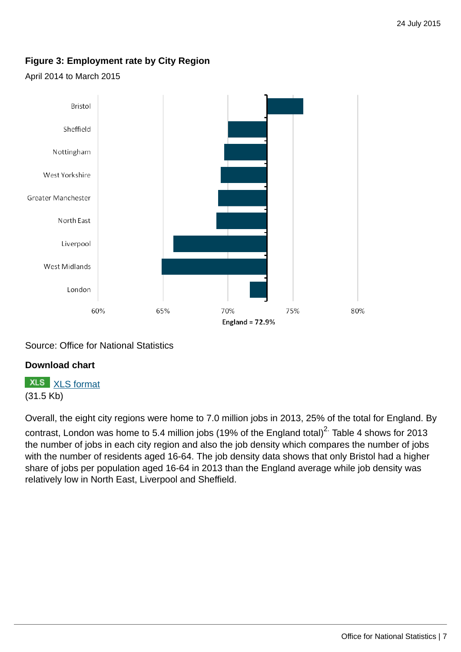### **Figure 3: Employment rate by City Region**

### April 2014 to March 2015



Source: Office for National Statistics

### **Download chart**

## **XLS** [XLS format](http://www.ons.gov.uk:80/ons/rel/regional-trends/cities-analysis/city-regions/chd3.xls)

(31.5 Kb)

Overall, the eight city regions were home to 7.0 million jobs in 2013, 25% of the total for England. By contrast, London was home to 5.4 million jobs (19% of the England total)<sup>2.</sup> Table 4 shows for 2013 the number of jobs in each city region and also the job density which compares the number of jobs with the number of residents aged 16-64. The job density data shows that only Bristol had a higher share of jobs per population aged 16-64 in 2013 than the England average while job density was relatively low in North East, Liverpool and Sheffield.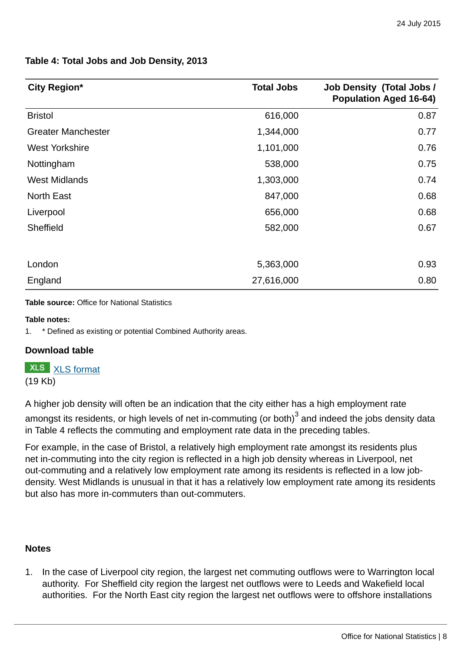## **Table 4: Total Jobs and Job Density, 2013**

| City Region*              | <b>Total Jobs</b> | <b>Job Density (Total Jobs /</b><br><b>Population Aged 16-64)</b> |
|---------------------------|-------------------|-------------------------------------------------------------------|
| <b>Bristol</b>            | 616,000           | 0.87                                                              |
| <b>Greater Manchester</b> | 1,344,000         | 0.77                                                              |
| <b>West Yorkshire</b>     | 1,101,000         | 0.76                                                              |
| Nottingham                | 538,000           | 0.75                                                              |
| <b>West Midlands</b>      | 1,303,000         | 0.74                                                              |
| <b>North East</b>         | 847,000           | 0.68                                                              |
| Liverpool                 | 656,000           | 0.68                                                              |
| Sheffield                 | 582,000           | 0.67                                                              |
|                           |                   |                                                                   |
| London                    | 5,363,000         | 0.93                                                              |
| England                   | 27,616,000        | 0.80                                                              |

**Table source:** Office for National Statistics

### **Table notes:**

1. \* Defined as existing or potential Combined Authority areas.

### **Download table**

|         | <b>XLS</b> format |
|---------|-------------------|
| (19 Kb) |                   |

A higher job density will often be an indication that the city either has a high employment rate

amongst its residents, or high levels of net in-commuting (or both) $^3$  and indeed the jobs density data in Table 4 reflects the commuting and employment rate data in the preceding tables.

For example, in the case of Bristol, a relatively high employment rate amongst its residents plus net in-commuting into the city region is reflected in a high job density whereas in Liverpool, net out-commuting and a relatively low employment rate among its residents is reflected in a low jobdensity. West Midlands is unusual in that it has a relatively low employment rate among its residents but also has more in-commuters than out-commuters.

### **Notes**

1. In the case of Liverpool city region, the largest net commuting outflows were to Warrington local authority. For Sheffield city region the largest net outflows were to Leeds and Wakefield local authorities. For the North East city region the largest net outflows were to offshore installations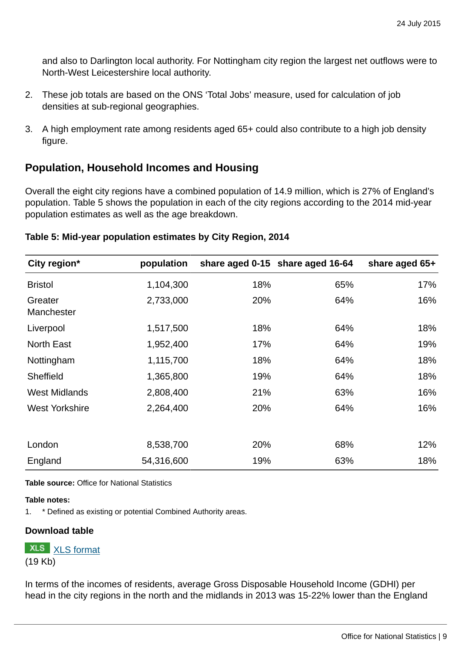and also to Darlington local authority. For Nottingham city region the largest net outflows were to North-West Leicestershire local authority.

- 2. These job totals are based on the ONS 'Total Jobs' measure, used for calculation of job densities at sub-regional geographies.
- 3. A high employment rate among residents aged 65+ could also contribute to a high job density figure.

### **Population, Household Incomes and Housing**

Overall the eight city regions have a combined population of 14.9 million, which is 27% of England's population. Table 5 shows the population in each of the city regions according to the 2014 mid-year population estimates as well as the age breakdown.

| City region*          | population |     | share aged 0-15 share aged 16-64 | share aged 65+ |
|-----------------------|------------|-----|----------------------------------|----------------|
| <b>Bristol</b>        | 1,104,300  | 18% | 65%                              | 17%            |
| Greater<br>Manchester | 2,733,000  | 20% | 64%                              | 16%            |
| Liverpool             | 1,517,500  | 18% | 64%                              | 18%            |
| <b>North East</b>     | 1,952,400  | 17% | 64%                              | 19%            |
| Nottingham            | 1,115,700  | 18% | 64%                              | 18%            |
| Sheffield             | 1,365,800  | 19% | 64%                              | 18%            |
| <b>West Midlands</b>  | 2,808,400  | 21% | 63%                              | 16%            |
| <b>West Yorkshire</b> | 2,264,400  | 20% | 64%                              | 16%            |
|                       |            |     |                                  |                |
| London                | 8,538,700  | 20% | 68%                              | 12%            |
| England               | 54,316,600 | 19% | 63%                              | 18%            |

### **Table 5: Mid-year population estimates by City Region, 2014**

**Table source:** Office for National Statistics

### **Table notes:**

1. \* Defined as existing or potential Combined Authority areas.

### **Download table**

**XLS** [XLS format](http://www.ons.gov.uk:80/ons/rel/regional-trends/cities-analysis/city-regions/prt5.xls) (19 Kb)

In terms of the incomes of residents, average Gross Disposable Household Income (GDHI) per head in the city regions in the north and the midlands in 2013 was 15-22% lower than the England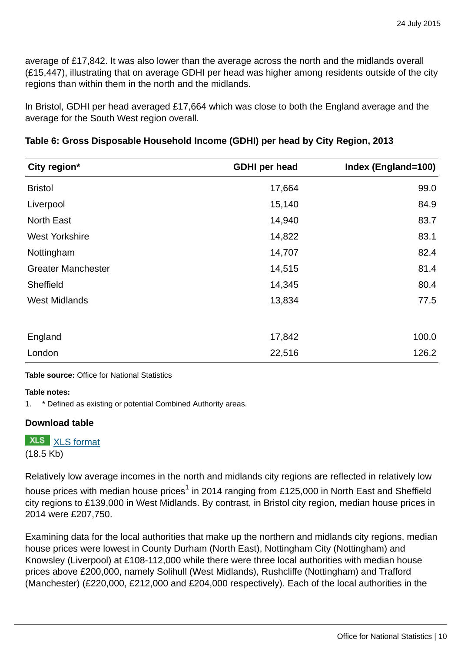average of £17,842. It was also lower than the average across the north and the midlands overall (£15,447), illustrating that on average GDHI per head was higher among residents outside of the city regions than within them in the north and the midlands.

In Bristol, GDHI per head averaged £17,664 which was close to both the England average and the average for the South West region overall.

| City region*              | <b>GDHI</b> per head | Index (England=100) |
|---------------------------|----------------------|---------------------|
| <b>Bristol</b>            | 17,664               | 99.0                |
| Liverpool                 | 15,140               | 84.9                |
| <b>North East</b>         | 14,940               | 83.7                |
| <b>West Yorkshire</b>     | 14,822               | 83.1                |
| Nottingham                | 14,707               | 82.4                |
| <b>Greater Manchester</b> | 14,515               | 81.4                |
| Sheffield                 | 14,345               | 80.4                |
| <b>West Midlands</b>      | 13,834               | 77.5                |
|                           |                      |                     |
| England                   | 17,842               | 100.0               |
| London                    | 22,516               | 126.2               |

### **Table 6: Gross Disposable Household Income (GDHI) per head by City Region, 2013**

### **Table source:** Office for National Statistics

### **Table notes:**

1. \* Defined as existing or potential Combined Authority areas.

### **Download table**

**XLS** [XLS format](http://www.ons.gov.uk:80/ons/rel/regional-trends/cities-analysis/city-regions/prt6.xls) (18.5 Kb)

Relatively low average incomes in the north and midlands city regions are reflected in relatively low house prices with median house prices $^1$  in 2014 ranging from £125,000 in North East and Sheffield city regions to £139,000 in West Midlands. By contrast, in Bristol city region, median house prices in 2014 were £207,750.

Examining data for the local authorities that make up the northern and midlands city regions, median house prices were lowest in County Durham (North East), Nottingham City (Nottingham) and Knowsley (Liverpool) at £108-112,000 while there were three local authorities with median house prices above £200,000, namely Solihull (West Midlands), Rushcliffe (Nottingham) and Trafford (Manchester) (£220,000, £212,000 and £204,000 respectively). Each of the local authorities in the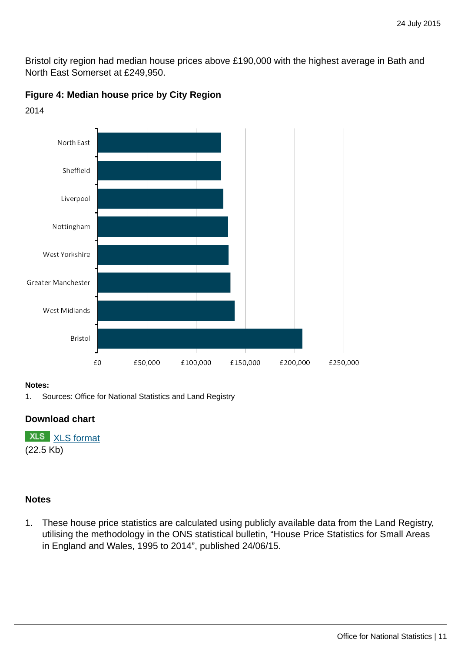Bristol city region had median house prices above £190,000 with the highest average in Bath and North East Somerset at £249,950.

**Figure 4: Median house price by City Region**



2014

### **Notes:**

1. Sources: Office for National Statistics and Land Registry

### **Download chart**

**XLS** [XLS format](http://www.ons.gov.uk:80/ons/rel/regional-trends/cities-analysis/city-regions/chd4.xls) (22.5 Kb)

### **Notes**

1. These house price statistics are calculated using publicly available data from the Land Registry, utilising the methodology in the ONS statistical bulletin, "House Price Statistics for Small Areas in England and Wales, 1995 to 2014", published 24/06/15.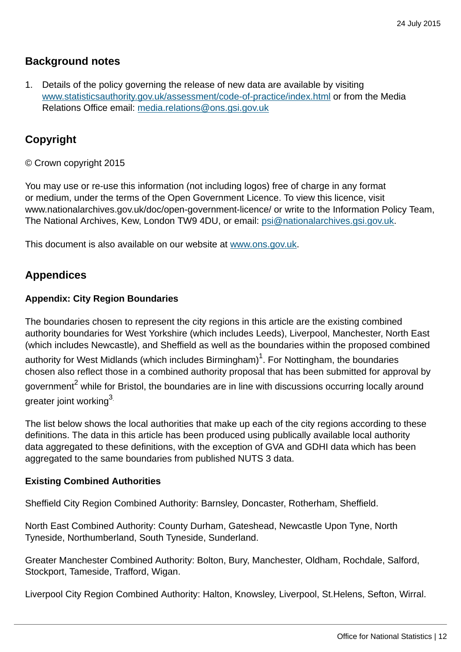### **Background notes**

1. Details of the policy governing the release of new data are available by visiting [www.statisticsauthority.gov.uk/assessment/code-of-practice/index.html](http://www.statisticsauthority.gov.uk/assessment/code-of-practice/index.html) or from the Media Relations Office email: [media.relations@ons.gsi.gov.uk](mailto:media.relations@ons.gsi.gov.uk)

### **Copyright**

© Crown copyright 2015

You may use or re-use this information (not including logos) free of charge in any format or medium, under the terms of the Open Government Licence. To view this licence, visit www.nationalarchives.gov.uk/doc/open-government-licence/ or write to the Information Policy Team, The National Archives, Kew, London TW9 4DU, or email: [psi@nationalarchives.gsi.gov.uk](mailto:psi@nationalarchives.gsi.gov.uk).

This document is also available on our website at [www.ons.gov.uk.](http://www.ons.gov.uk/)

### **Appendices**

### **Appendix: City Region Boundaries**

The boundaries chosen to represent the city regions in this article are the existing combined authority boundaries for West Yorkshire (which includes Leeds), Liverpool, Manchester, North East (which includes Newcastle), and Sheffield as well as the boundaries within the proposed combined authority for West Midlands (which includes Birmingham) $^1$ . For Nottingham, the boundaries chosen also reflect those in a combined authority proposal that has been submitted for approval by government<sup>2</sup> while for Bristol, the boundaries are in line with discussions occurring locally around greater joint working3.

The list below shows the local authorities that make up each of the city regions according to these definitions. The data in this article has been produced using publically available local authority data aggregated to these definitions, with the exception of GVA and GDHI data which has been aggregated to the same boundaries from published NUTS 3 data.

### **Existing Combined Authorities**

Sheffield City Region Combined Authority: Barnsley, Doncaster, Rotherham, Sheffield.

North East Combined Authority: County Durham, Gateshead, Newcastle Upon Tyne, North Tyneside, Northumberland, South Tyneside, Sunderland.

Greater Manchester Combined Authority: Bolton, Bury, Manchester, Oldham, Rochdale, Salford, Stockport, Tameside, Trafford, Wigan.

Liverpool City Region Combined Authority: Halton, Knowsley, Liverpool, St.Helens, Sefton, Wirral.